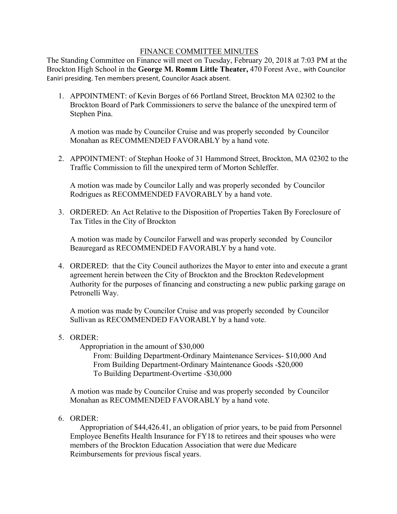# FINANCE COMMITTEE MINUTES

 Brockton High School in the **George M. Romm Little Theater,** 470 Forest Ave.*,* with Councilor Eaniri presiding. Ten members present, Councilor Asack absent. The Standing Committee on Finance will meet on Tuesday, February 20, 2018 at 7:03 PM at the

1. APPOINTMENT: of Kevin Borges of 66 Portland Street, Brockton MA 02302 to the Brockton Board of Park Commissioners to serve the balance of the unexpired term of Stephen Pina.

A motion was made by Councilor Cruise and was properly seconded by Councilor Monahan as RECOMMENDED FAVORABLY by a hand vote.

2. APPOINTMENT: of Stephan Hooke of 31 Hammond Street, Brockton, MA 02302 to the Traffic Commission to fill the unexpired term of Morton Schleffer.

A motion was made by Councilor Lally and was properly seconded by Councilor Rodrigues as RECOMMENDED FAVORABLY by a hand vote.

3. ORDERED: An Act Relative to the Disposition of Properties Taken By Foreclosure of Tax Titles in the City of Brockton

A motion was made by Councilor Farwell and was properly seconded by Councilor Beauregard as RECOMMENDED FAVORABLY by a hand vote.

4. ORDERED: that the City Council authorizes the Mayor to enter into and execute a grant agreement herein between the City of Brockton and the Brockton Redevelopment Authority for the purposes of financing and constructing a new public parking garage on Petronelli Way.

A motion was made by Councilor Cruise and was properly seconded by Councilor Sullivan as RECOMMENDED FAVORABLY by a hand vote.

# 5. ORDER:

Appropriation in the amount of \$30,000

From: Building Department-Ordinary Maintenance Services- \$10,000 And From Building Department-Ordinary Maintenance Goods -\$20,000 To Building Department-Overtime -\$30,000

A motion was made by Councilor Cruise and was properly seconded by Councilor Monahan as RECOMMENDED FAVORABLY by a hand vote.

6. ORDER:

 Appropriation of \$44,426.41, an obligation of prior years, to be paid from Personnel Employee Benefits Health Insurance for FY18 to retirees and their spouses who were members of the Brockton Education Association that were due Medicare Reimbursements for previous fiscal years.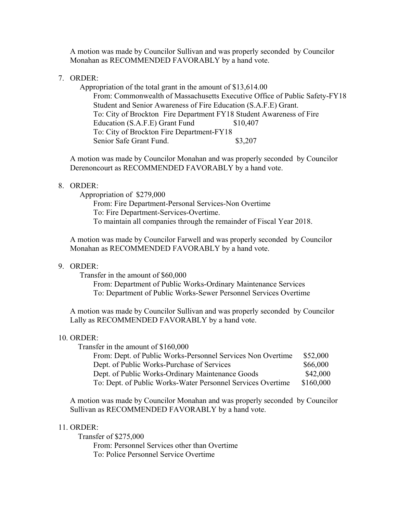A motion was made by Councilor Sullivan and was properly seconded by Councilor Monahan as RECOMMENDED FAVORABLY by a hand vote.

## 7. ORDER:

 Appropriation of the total grant in the amount of \$13,614.00 From: Commonwealth of Massachusetts Executive Office of Public Safety-FY18 Student and Senior Awareness of Fire Education (S.A.F.E) Grant. To: City of Brockton Fire Department FY18 Student Awareness of Fire Education (S.A.F.E) Grant Fund \$10,407 To: City of Brockton Fire Department-FY18 Senior Safe Grant Fund. \$3,207

A motion was made by Councilor Monahan and was properly seconded by Councilor Derenoncourt as RECOMMENDED FAVORABLY by a hand vote.

## 8. ORDER:

Appropriation of \$279,000

From: Fire Department-Personal Services-Non Overtime To: Fire Department-Services-Overtime. To maintain all companies through the remainder of Fiscal Year 2018.

A motion was made by Councilor Farwell and was properly seconded by Councilor Monahan as RECOMMENDED FAVORABLY by a hand vote.

## 9. ORDER:

Transfer in the amount of \$60,000

From: Department of Public Works-Ordinary Maintenance Services To: Department of Public Works-Sewer Personnel Services Overtime

A motion was made by Councilor Sullivan and was properly seconded by Councilor Lally as RECOMMENDED FAVORABLY by a hand vote.

#### $10$ . ORDER:

| Transfer in the amount of \$160,000                         |           |
|-------------------------------------------------------------|-----------|
| From: Dept. of Public Works-Personnel Services Non Overtime | \$52,000  |
| Dept. of Public Works-Purchase of Services                  | \$66,000  |
| Dept. of Public Works-Ordinary Maintenance Goods            | \$42,000  |
| To: Dept. of Public Works-Water Personnel Services Overtime | \$160,000 |

A motion was made by Councilor Monahan and was properly seconded by Councilor Sullivan as RECOMMENDED FAVORABLY by a hand vote.

### 11. ORDER:

 To: Police Personnel Service Overtime Transfer of \$275,000 From: Personnel Services other than Overtime